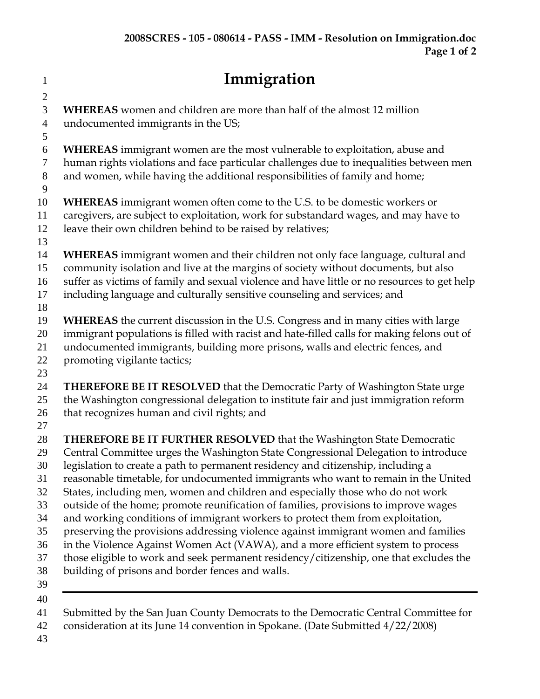| $\mathbf{1}$   | Immigration                                                                                 |
|----------------|---------------------------------------------------------------------------------------------|
| $\overline{2}$ |                                                                                             |
| 3              | <b>WHEREAS</b> women and children are more than half of the almost 12 million               |
| $\overline{4}$ | undocumented immigrants in the US;                                                          |
| 5              |                                                                                             |
| 6              | <b>WHEREAS</b> immigrant women are the most vulnerable to exploitation, abuse and           |
| 7              | human rights violations and face particular challenges due to inequalities between men      |
| 8              | and women, while having the additional responsibilities of family and home;                 |
| 9              |                                                                                             |
| 10             | <b>WHEREAS</b> immigrant women often come to the U.S. to be domestic workers or             |
| 11             | caregivers, are subject to exploitation, work for substandard wages, and may have to        |
| 12             | leave their own children behind to be raised by relatives;                                  |
| 13<br>14       | WHEREAS immigrant women and their children not only face language, cultural and             |
| 15             | community isolation and live at the margins of society without documents, but also          |
| 16             | suffer as victims of family and sexual violence and have little or no resources to get help |
| 17             | including language and culturally sensitive counseling and services; and                    |
| 18             |                                                                                             |
| 19             | <b>WHEREAS</b> the current discussion in the U.S. Congress and in many cities with large    |
| 20             | immigrant populations is filled with racist and hate-filled calls for making felons out of  |
| 21             | undocumented immigrants, building more prisons, walls and electric fences, and              |
| 22             | promoting vigilante tactics;                                                                |
| 23             |                                                                                             |
| 24             | THEREFORE BE IT RESOLVED that the Democratic Party of Washington State urge                 |
| 25             | the Washington congressional delegation to institute fair and just immigration reform       |
| 26             | that recognizes human and civil rights; and                                                 |
| 27             |                                                                                             |
| 28             | THEREFORE BE IT FURTHER RESOLVED that the Washington State Democratic                       |
| 29             | Central Committee urges the Washington State Congressional Delegation to introduce          |
| 30             | legislation to create a path to permanent residency and citizenship, including a            |
| 31             | reasonable timetable, for undocumented immigrants who want to remain in the United          |
| 32             | States, including men, women and children and especially those who do not work              |
| 33             | outside of the home; promote reunification of families, provisions to improve wages         |
| 34             | and working conditions of immigrant workers to protect them from exploitation,              |
| 35             | preserving the provisions addressing violence against immigrant women and families          |
| 36             | in the Violence Against Women Act (VAWA), and a more efficient system to process            |
| 37             | those eligible to work and seek permanent residency/citizenship, one that excludes the      |
| 38             | building of prisons and border fences and walls.                                            |
| 39             |                                                                                             |
| 40             |                                                                                             |
| 41             | Submitted by the San Juan County Democrats to the Democratic Central Committee for          |

consideration at its June 14 convention in Spokane. (Date Submitted 4/22/2008)